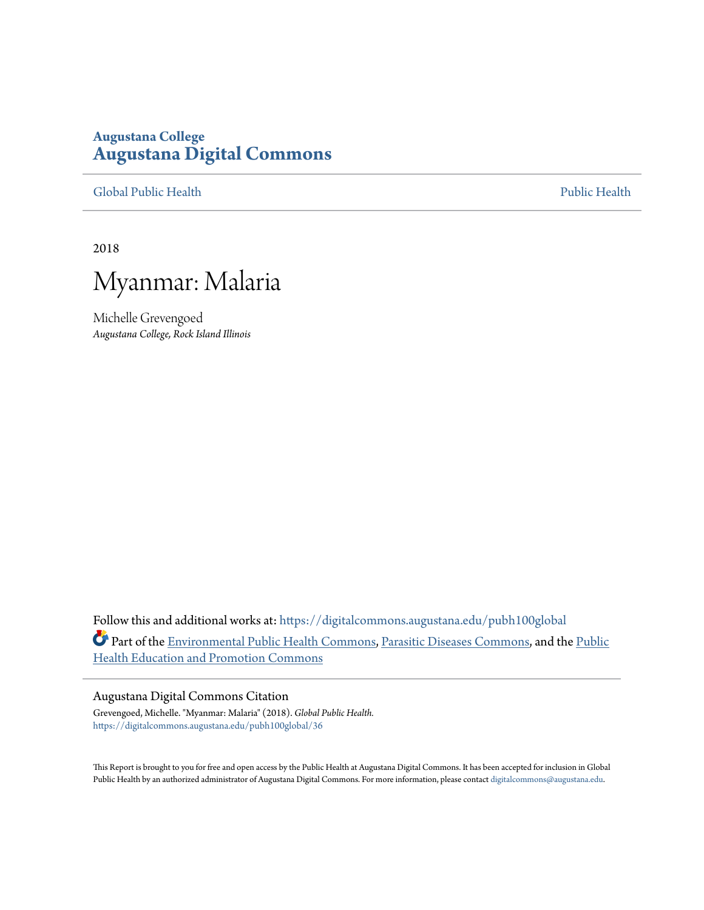### **Augustana College [Augustana Digital Commons](https://digitalcommons.augustana.edu?utm_source=digitalcommons.augustana.edu%2Fpubh100global%2F36&utm_medium=PDF&utm_campaign=PDFCoverPages)**

[Global Public Health](https://digitalcommons.augustana.edu/pubh100global?utm_source=digitalcommons.augustana.edu%2Fpubh100global%2F36&utm_medium=PDF&utm_campaign=PDFCoverPages) [Public Health](https://digitalcommons.augustana.edu/publichealth?utm_source=digitalcommons.augustana.edu%2Fpubh100global%2F36&utm_medium=PDF&utm_campaign=PDFCoverPages)

2018



Michelle Grevengoed *Augustana College, Rock Island Illinois*

Follow this and additional works at: [https://digitalcommons.augustana.edu/pubh100global](https://digitalcommons.augustana.edu/pubh100global?utm_source=digitalcommons.augustana.edu%2Fpubh100global%2F36&utm_medium=PDF&utm_campaign=PDFCoverPages) Part of the [Environmental Public Health Commons](http://network.bepress.com/hgg/discipline/739?utm_source=digitalcommons.augustana.edu%2Fpubh100global%2F36&utm_medium=PDF&utm_campaign=PDFCoverPages), [Parasitic Diseases Commons,](http://network.bepress.com/hgg/discipline/983?utm_source=digitalcommons.augustana.edu%2Fpubh100global%2F36&utm_medium=PDF&utm_campaign=PDFCoverPages) and the [Public](http://network.bepress.com/hgg/discipline/743?utm_source=digitalcommons.augustana.edu%2Fpubh100global%2F36&utm_medium=PDF&utm_campaign=PDFCoverPages) [Health Education and Promotion Commons](http://network.bepress.com/hgg/discipline/743?utm_source=digitalcommons.augustana.edu%2Fpubh100global%2F36&utm_medium=PDF&utm_campaign=PDFCoverPages)

### Augustana Digital Commons Citation

Grevengoed, Michelle. "Myanmar: Malaria" (2018). *Global Public Health.* [https://digitalcommons.augustana.edu/pubh100global/36](https://digitalcommons.augustana.edu/pubh100global/36?utm_source=digitalcommons.augustana.edu%2Fpubh100global%2F36&utm_medium=PDF&utm_campaign=PDFCoverPages)

This Report is brought to you for free and open access by the Public Health at Augustana Digital Commons. It has been accepted for inclusion in Global Public Health by an authorized administrator of Augustana Digital Commons. For more information, please contact [digitalcommons@augustana.edu.](mailto:digitalcommons@augustana.edu)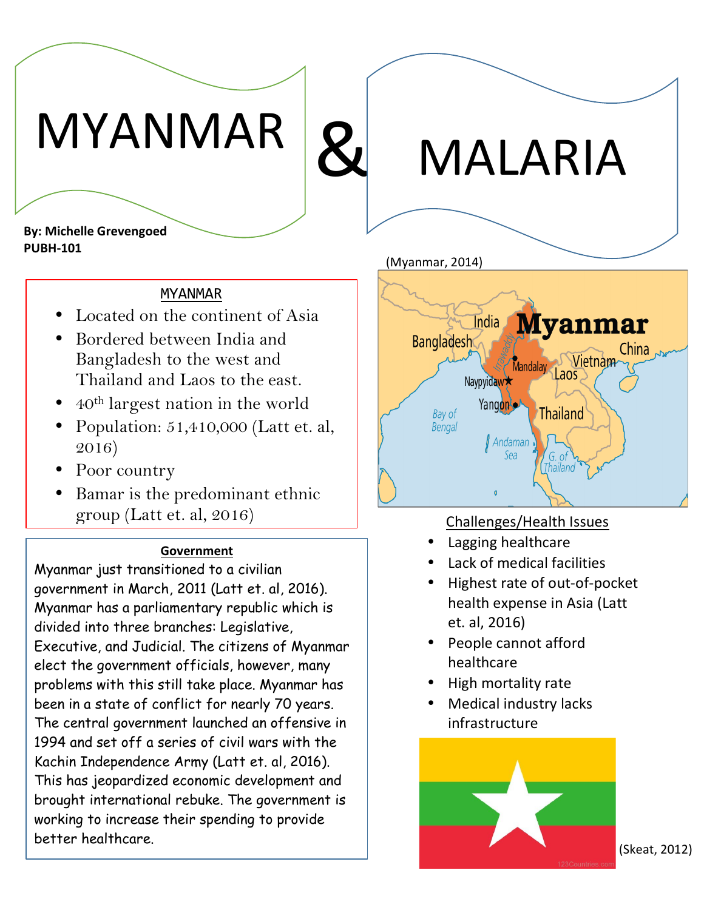# MYANMAR

& MALARIA!

**By: Michelle Grevengoed PUBH-101** 

### MYANMAR

- Located on the continent of Asia
- Bordered between India and Bangladesh to the west and Thailand and Laos to the east.
- 40th largest nation in the world
- Population: 51,410,000 (Latt et. al, 2016)
- Poor country
- Bamar is the predominant ethnic group (Latt et. al, 2016) Challenges/Health Issues

### **Government**

Myanmar just transitioned to a civilian government in March, 2011 (Latt et. al, 2016). Myanmar has a parliamentary republic which is divided into three branches: Legislative, Executive, and Judicial. The citizens of Myanmar elect the government officials, however, many problems with this still take place. Myanmar has been in a state of conflict for nearly 70 years. The central government launched an offensive in 1994 and set off a series of civil wars with the Kachin Independence Army (Latt et. al, 2016). This has jeopardized economic development and brought international rebuke. The government is working to increase their spending to provide better healthcare.

(Myanmar, 2014)



- Lagging healthcare
- Lack of medical facilities
- Highest rate of out-of-pocket health expense in Asia (Latt et. al, 2016)
- People cannot afford healthcare
- High mortality rate
- Medical industry lacks infrastructure



(Skeat, 2012)